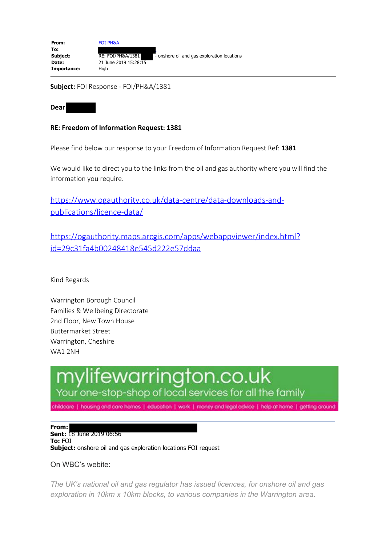| From:       | <b>FOI PH&amp;A</b>   |                                             |
|-------------|-----------------------|---------------------------------------------|
| To:         |                       |                                             |
| Subject:    | RE: FOI/PH&A/1381     | - onshore oil and gas exploration locations |
| Date:       | 21 June 2019 15:28:15 |                                             |
| Importance: | Hiah                  |                                             |

**Subject:** FOI Response - FOI/PH&A/1381

**Dear** 

## **RE: Freedom of Information Request: 1381**

Please find below our response to your Freedom of Information Request Ref: **1381** 

We would like to direct you to the links from the oil and gas authority where you will find the information you require.

https://www.ogauthority.co.uk/data-centre/data-downloads-andpublications/licence-data/

https://ogauthority.maps.arcgis.com/apps/webappviewer/index.html? id=29c31fa4b00248418e545d222e57ddaa

Kind Regards

Warrington Borough Council Families & Wellbeing Directorate 2nd Floor, New Town House Buttermarket Street Warrington, Cheshire WA1 2NH

## lifewarrington.co.uk Your one-stop-shop of local services for all the family

childcare | housing and care homes | education | work | money and legal advice | help at home | getting around

**From: Sent:** 18 June 2019 06:56 **To:** FOI **Subject:** onshore oil and gas exploration locations FOI request

On WBC's webite:

*The UK's national oil and gas regulator has issued licences, for onshore oil and gas exploration in 10km x 10km blocks, to various companies in the Warrington area.*